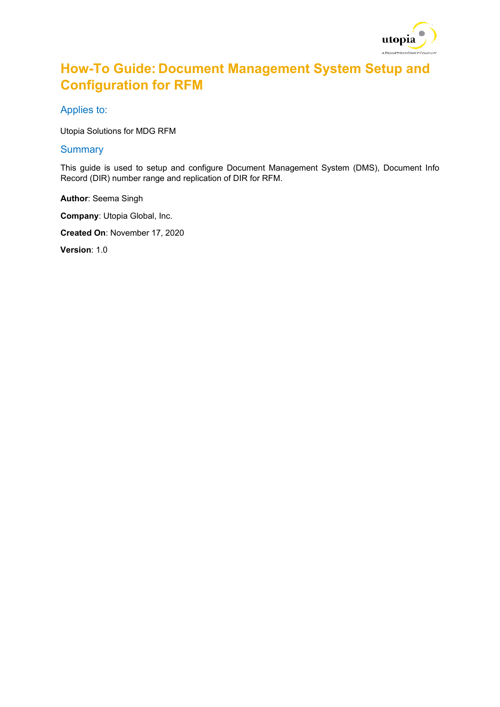

## **How-To Guide: Document Management System Setup and Configuration for RFM**

Applies to:

Utopia Solutions for MDG RFM

#### **Summary**

This guide is used to setup and configure Document Management System (DMS), Document Info Record (DIR) number range and replication of DIR for RFM.

**Author**: Seema Singh

**Company**: Utopia Global, Inc.

**Created On**: November 17, 2020

**Version**: 1.0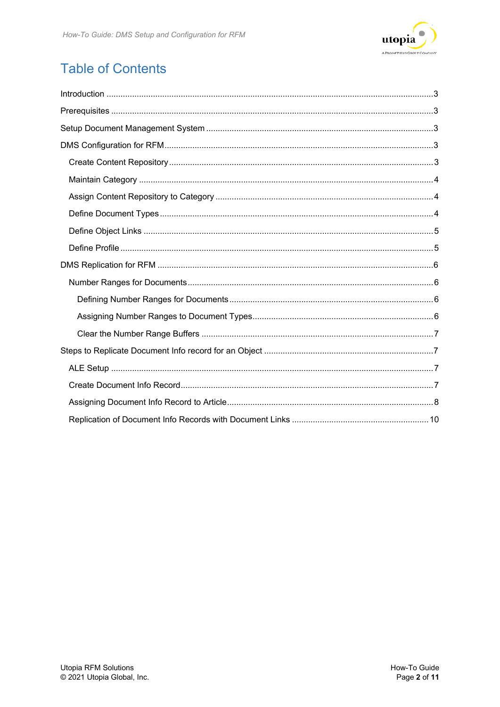

# **Table of Contents**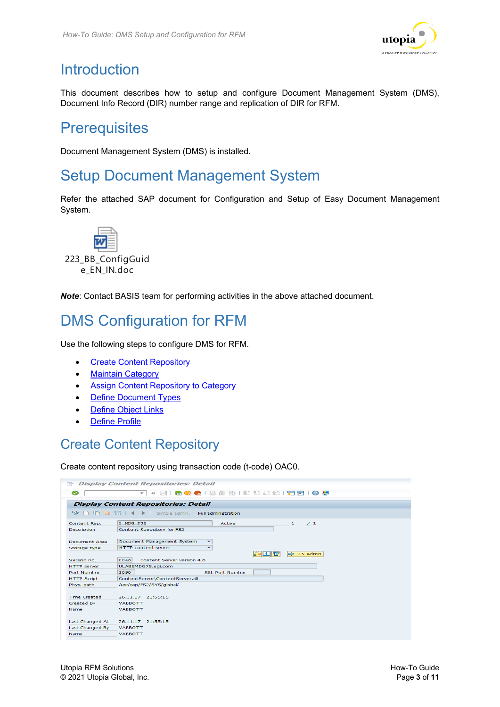

# <span id="page-2-0"></span>**Introduction**

This document describes how to setup and configure Document Management System (DMS), Document Info Record (DIR) number range and replication of DIR for RFM.

## <span id="page-2-1"></span>**Prerequisites**

Document Management System (DMS) is installed.

## <span id="page-2-2"></span>Setup Document Management System

Refer the attached SAP document for Configuration and Setup of Easy Document Management System.



e\_EN\_IN.doc

*Note*: Contact BASIS team for performing activities in the above attached document.

# <span id="page-2-3"></span>DMS Configuration for RFM

Use the following steps to configure DMS for RFM.

- [Create Content Repository](#page-2-4)
- [Maintain Category](#page-3-0)
- [Assign Content Repository to Category](#page-3-1)
- [Define Document Types](#page-3-2)
- [Define Object Links](#page-4-0)
- [Define Profile](#page-4-1)

### <span id="page-2-4"></span>Create Content Repository

Create content repository using transaction code (t-code) OAC0.

| 巨                                                                 | <b>Display Content Repositories: Detail</b>                          |
|-------------------------------------------------------------------|----------------------------------------------------------------------|
| Ø                                                                 | « RIGGGI≙M M I O O O O R RIGU<br>$\checkmark$                        |
|                                                                   | <b>Display Content Repositories: Detail</b>                          |
| $\mathbf{P} \cup \mathbf{P}$ , where $\mathbf{P} \cup \mathbf{P}$ | Simple admin. Full administration                                    |
| Content Rep.                                                      | Z MDG FS2<br>$\mathbf{1}$<br>Active<br>/1                            |
| Description                                                       | Content Repository for FS2                                           |
| Document Area                                                     | Document Management System<br>٠                                      |
| Storage type                                                      | <b>HTTP</b> content server<br>٠                                      |
| Version no.                                                       | 不明日下<br>$\Rightarrow$ CS Admin<br>0046<br>Content Server version 4.6 |
| <b>HTTP</b> server                                                | ULABSMDG75.ugi.com                                                   |
| Port Number                                                       | 1090<br>SSL Port Number                                              |
| <b>HTTP Script</b>                                                | ContentServer\ContentServer.dll                                      |
| Phys. path                                                        | /usr/sap/FS2/SYS/global/                                             |
|                                                                   |                                                                      |
| <b>Time Created</b>                                               | 26.11.17 21:55:15                                                    |
| Created By                                                        | <b>VARROTT</b>                                                       |
| <b>Name</b>                                                       | <b>VABBOTT</b>                                                       |
|                                                                   |                                                                      |
| Last Changed At                                                   | 26.11.17 21:55:15                                                    |
| Last Changed By                                                   | <b>VABBOTT</b>                                                       |
| <b>Name</b>                                                       | <b>VARROTT</b>                                                       |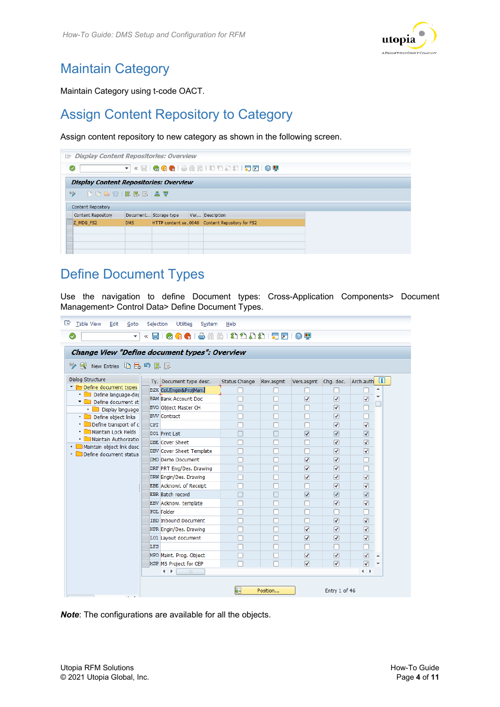

## <span id="page-3-0"></span>Maintain Category

Maintain Category using t-code OACT.

## <span id="page-3-1"></span>Assign Content Repository to Category

Assign content repository to new category as shown in the following screen.

| <b>Display Content Repositories: Overview</b><br>G |                      |                       |                                                |  |
|----------------------------------------------------|----------------------|-----------------------|------------------------------------------------|--|
| Ø                                                  | $\blacktriangledown$ |                       | <b>KEIGGGIBAADDDDIFFEIGT</b>                   |  |
| <b>Display Content Repositories: Overview</b>      |                      |                       |                                                |  |
| 62<br><b>DDDDDRBBB</b>                             |                      |                       |                                                |  |
| <b>Content Repository</b>                          |                      |                       |                                                |  |
| <b>Content Repository</b>                          |                      | Document Storage type | Ver Description                                |  |
| Z MDG FS2                                          | <b>DMS</b>           |                       | HTTP content se0046 Content Repository for FS2 |  |
|                                                    |                      |                       |                                                |  |
|                                                    |                      |                       |                                                |  |

### <span id="page-3-2"></span>Define Document Types

Use the navigation to define Document types: Cross-Application Components> Document Management> Control Data> Define Document Types.

| <b>Change View "Define document types": Overview</b><br><sup>6</sup> 》 ③ New Entries 『日品』 国民国 |            |                                                   |               |           |                                 |                                 |                                 |  |
|-----------------------------------------------------------------------------------------------|------------|---------------------------------------------------|---------------|-----------|---------------------------------|---------------------------------|---------------------------------|--|
| Dialog Structure                                                                              |            |                                                   | Status Change |           |                                 | Cha. doc.                       | Arch.auth 1                     |  |
| Define document types                                                                         |            | Ty. Document type desc.<br>B2X Col.Engin&ProjMan. |               | Rev.asgmt | Vers.asgmt                      |                                 | 스                               |  |
| · Define language-der                                                                         |            | <b>BAM Bank Account Doc</b>                       |               |           |                                 |                                 |                                 |  |
| Define document st                                                                            |            |                                                   |               |           | $\overline{\mathsf{v}}$         | $\overline{\blacktriangledown}$ | $\overline{\mathbf{v}}$         |  |
| • <b>Display language</b>                                                                     |            | <b>BVO Object Master CH</b>                       |               |           |                                 | $\overline{\blacktriangledown}$ |                                 |  |
| • Define object links                                                                         |            | <b>BVV Contract</b>                               |               |           |                                 | $\overline{\blacktriangledown}$ |                                 |  |
| Define transport of c<br>Maintain Lock Fields                                                 | <b>CPT</b> |                                                   |               |           |                                 | $\overline{\blacktriangledown}$ | $\overline{\mathsf{v}}$         |  |
| Maintain Authorizatio                                                                         |            | D01 Print List                                    |               |           | $\overline{\blacktriangledown}$ | $\overline{\blacktriangledown}$ | $\overline{\blacktriangledown}$ |  |
| · Maintain object link desc                                                                   |            | <b>DBE</b> Cover Sheet                            |               |           |                                 | ☑                               | ☑                               |  |
| Define document status                                                                        |            | DBV Cover Sheet Template                          |               |           |                                 | $\overline{\blacktriangledown}$ | $\overline{\mathsf{v}}$         |  |
|                                                                                               |            | DMO Demo Document                                 |               |           | $\overline{\mathbf{v}}$         | $\overline{\blacktriangledown}$ |                                 |  |
|                                                                                               |            | DRF PRT Eng/Des. Drawing                          |               |           | $\overline{\mathsf{v}}$         | $\overline{\blacktriangledown}$ |                                 |  |
|                                                                                               |            | DRW Engin/Des. Drawing                            |               |           | $\overline{\mathbf{v}}$         | $\overline{\blacktriangledown}$ | $\overline{\mathbf{v}}$         |  |
|                                                                                               |            | <b>EBE Acknowl. of Receipt</b>                    |               |           |                                 | $\overline{\blacktriangledown}$ | $\overline{\mathsf{v}}$         |  |
|                                                                                               |            | <b>EBR</b> Batch record                           |               |           | $\overline{\blacktriangledown}$ | $\overline{\blacktriangledown}$ | $\overline{\blacktriangledown}$ |  |
|                                                                                               |            | EBV Acknow. template                              |               |           |                                 | $\overline{\blacktriangledown}$ | ☑                               |  |
|                                                                                               |            | <b>FOL Folder</b>                                 |               |           |                                 |                                 |                                 |  |
|                                                                                               |            | <b>IBD Inbound Document</b>                       |               |           |                                 | $\overline{\blacktriangledown}$ | $\overline{\mathbf{v}}$         |  |
|                                                                                               |            | KPR Engin/Des. Drawing                            |               |           | $\overline{\mathsf{v}}$         | $\overline{\blacktriangledown}$ | $\overline{\blacktriangledown}$ |  |
|                                                                                               |            | L01 Layout document                               |               |           | $\overline{\mathsf{v}}$         | $\overline{\blacktriangledown}$ | ☑                               |  |
|                                                                                               | LFS        |                                                   |               |           |                                 |                                 |                                 |  |
|                                                                                               |            | MPO Maint. Prog. Object                           |               |           | $\overline{\mathbf{v}}$         | $\overline{\blacktriangledown}$ | $\overline{\mathbf{v}}$<br>▲    |  |
|                                                                                               |            | MSP MS Project for CEP                            |               |           | $\overline{\mathsf{v}}$         | $\overline{\mathbf{v}}$         | $\overline{\mathbf{v}}$         |  |
|                                                                                               |            | $\leftarrow$<br>$\frac{124}{122}$                 |               |           |                                 |                                 | $\leftarrow$                    |  |

*Note*: The configurations are available for all the objects.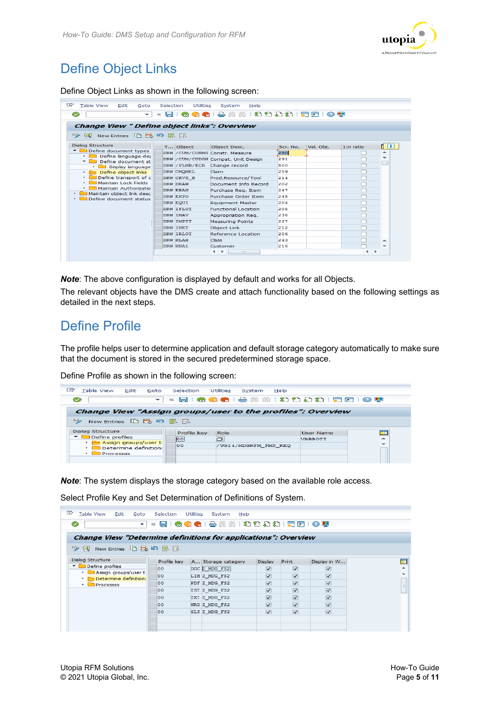

## <span id="page-4-0"></span>Define Object Links

Define Object Links as shown in the following screen:

| 叵<br><b>Table View</b><br>Edit<br>Selection<br><b>Utilities</b><br>Goto<br>System<br>Help<br>Ø<br>. .<br>$\ll$<br>$\checkmark$<br>Change View " Define object links": Overview |  |            |                                                         |          |           |           |    |
|--------------------------------------------------------------------------------------------------------------------------------------------------------------------------------|--|------------|---------------------------------------------------------|----------|-----------|-----------|----|
| QQQISINNISIDASI509<br><sup>6</sup> 少風 New Entries 心民の民民                                                                                                                        |  |            |                                                         |          |           |           |    |
| <b>Dialog Structure</b>                                                                                                                                                        |  | T Object   | Object Desc.                                            | Scr. No. | Val. Obi. | 1:n ratio | 10 |
| $\blacksquare$ Define document types                                                                                                                                           |  |            | DRW / CUM/ CONMS Constr. Measure                        | 290      |           |           |    |
| Define language-der<br>Define document st                                                                                                                                      |  |            | DRW / CUM/CUDGN Compat. Unit Design                     | 291      |           |           |    |
| Display language                                                                                                                                                               |  |            | DRW / PLMB/ECR Change record                            | 500      |           |           |    |
| • <b>Define object links</b>                                                                                                                                                   |  | DRW CMOMEL | Claim                                                   | 259      |           |           |    |
| Define transport of c                                                                                                                                                          |  | DRW CRVS B | Prod.Resource/Tool                                      | 214      |           |           |    |
| Maintain Lock Fields                                                                                                                                                           |  | DRW DRAW   | Document Info Record                                    | 202      |           |           |    |
| Maintain Authorizatio                                                                                                                                                          |  | DRW EBAN   | Purchase Reg. Item                                      | 247      |           |           |    |
| Maintain object link desc<br>Define document status                                                                                                                            |  | DRW EKPO   | Purchase Order Item                                     | 248      |           |           |    |
|                                                                                                                                                                                |  | DRW EQUI   | <b>Equipment Master</b>                                 | 204      |           |           |    |
|                                                                                                                                                                                |  | DRW IFLOT  | <b>Eunctional Location</b>                              | 205      |           |           |    |
|                                                                                                                                                                                |  | DRW TMAV   | Appropriation Reg.                                      | 238      |           |           |    |
|                                                                                                                                                                                |  | DRW TMPTT  | <b>Measuring Points</b>                                 | 227      |           |           |    |
|                                                                                                                                                                                |  | DRW INET   | <b>Object Link</b>                                      | 212      |           |           |    |
|                                                                                                                                                                                |  | DRW IRLOT  | Reference Location                                      | 206      |           |           |    |
|                                                                                                                                                                                |  | DRW KT.AH  | <b>Class</b>                                            | 243      |           |           |    |
|                                                                                                                                                                                |  | DRW KNA1   | Customer                                                | 216      |           |           |    |
|                                                                                                                                                                                |  |            | $\blacksquare$<br>$\frac{1}{2} \frac{1}{2} \frac{1}{2}$ |          |           | . .       |    |

*Note*: The above configuration is displayed by default and works for all Objects.

The relevant objects have the DMS create and attach functionality based on the following settings as detailed in the next steps.

### <span id="page-4-1"></span>Define Profile

The profile helps user to determine application and default storage category automatically to make sure that the document is stored in the secured predetermined storage space.

Define Profile as shown in the following screen:

| e<br>Table View Edit Goto Selection                        |             | Utilities System          | Help                                      |   |
|------------------------------------------------------------|-------------|---------------------------|-------------------------------------------|---|
| $\overline{\phantom{a}}$<br>$\sim$                         |             |                           | « 日   Q Q Q   은 M M I 원 원 원 원   万 F   ⊙ Y |   |
| Change View "Assign groups/user to the profiles": Overview |             |                           |                                           |   |
| 6ĝ.<br>- New Entries 『自己の民風                                |             |                           |                                           |   |
| <b>Dialog Structure</b><br>$\blacksquare$ Define profiles  | Profile kev | Role                      | <b>User Name</b>                          |   |
| • <b>Assign groups/user to</b>                             | loo!<br>loo | ロ<br>/UGI4/MDGRFM FMS REQ | <b>VABBOTT</b>                            | - |
| Determine definitions<br>$\cdot$<br><b>Processes</b>       |             |                           |                                           |   |
|                                                            |             |                           |                                           |   |

*Note*: The system displays the storage category based on the available role access.

Select Profile Key and Set Determination of Definitions of System.

| œ<br>Table View Edit Goto                                             |      | Selection   | Utilities | System<br>Help                                 |                         |                                 |                         |   |
|-----------------------------------------------------------------------|------|-------------|-----------|------------------------------------------------|-------------------------|---------------------------------|-------------------------|---|
| Ø<br>↽                                                                |      |             |           | « HIR Q Q Q I & M M I £ {} {} {} {} F F I @ !! |                         |                                 |                         |   |
| <b>Change View "Determine definitions for applications": Overview</b> |      |             |           |                                                |                         |                                 |                         |   |
| ◎ Q New Entries 白昆叼昆尿                                                 |      |             |           |                                                |                         |                                 |                         |   |
| <b>Dialog Structure</b>                                               |      | Profile key |           | A Storage category                             | <b>Display</b>          | Print                           | Display in W            |   |
| $\blacksquare$ Define profiles                                        | 100. |             |           | DOC Z MDG FS2                                  | $\overline{\mathsf{v}}$ | $\overline{\blacktriangledown}$ | $\overline{\mathsf{v}}$ |   |
| • Assign groups/user t<br>• <b>Determine definition:</b>              | 100. |             |           | LIM Z MDG FS2                                  | $\overline{\mathsf{v}}$ | $\overline{\mathsf{v}}$         | $\overline{\mathsf{v}}$ | ٠ |
| $\cdot$ <b>Processes</b>                                              | loo. |             |           | PDF Z MDG FS2                                  | $\overline{\mathbf{v}}$ | $\overline{\mathbf{v}}$         | $\overline{\mathbf{v}}$ | 琪 |
|                                                                       | 100. |             |           | TST Z MDG FS2                                  | $\overline{\mathsf{v}}$ | $\overline{\mathbf{v}}$         | $\overline{\mathsf{v}}$ |   |
|                                                                       | loo. |             |           | TXT Z MDG FS2                                  | $\overline{\mathbf{v}}$ | $\overline{\mathsf{v}}$         | $\overline{\mathbf{v}}$ |   |
|                                                                       | loo. |             |           | WRD Z MDG FS2                                  | $\overline{\mathbf{v}}$ | $\overline{\mathbf{v}}$         | $\overline{\mathbf{v}}$ |   |
|                                                                       | loo. |             |           | XLS Z MDG FS2                                  | $\overline{\mathsf{v}}$ | $\overline{\mathsf{v}}$         | $\overline{\mathbf{v}}$ |   |
|                                                                       |      |             |           |                                                |                         |                                 |                         |   |
|                                                                       |      |             |           |                                                |                         |                                 |                         |   |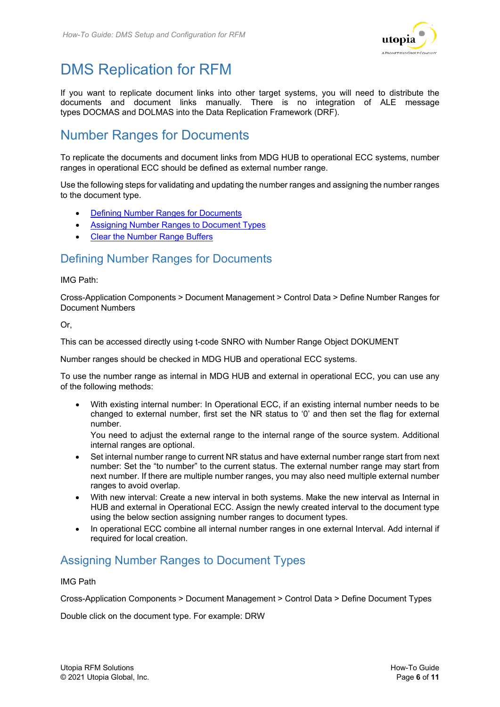

# <span id="page-5-0"></span>DMS Replication for RFM

If you want to replicate document links into other target systems, you will need to distribute the documents and document links manually. There is no integration of ALE message types DOCMAS and DOLMAS into the Data Replication Framework (DRF).

### <span id="page-5-1"></span>Number Ranges for Documents

To replicate the documents and document links from MDG HUB to operational ECC systems, number ranges in operational ECC should be defined as external number range.

Use the following steps for validating and updating the number ranges and assigning the number ranges to the document type.

- [Defining Number Ranges for Documents](#page-5-2)
- [Assigning Number Ranges to Document Types](#page-5-4)
- [Clear the Number Range Buffers](#page-6-0)

#### <span id="page-5-2"></span>Defining Number Ranges for Documents

#### IMG Path:

Cross-Application Components > Document Management > Control Data > Define Number Ranges for Document Numbers

Or,

This can be accessed directly using t-code SNRO with Number Range Object DOKUMENT

Number ranges should be checked in MDG HUB and operational ECC systems.

To use the number range as internal in MDG HUB and external in operational ECC, you can use any of the following methods:

• With existing internal number: In Operational ECC, if an existing internal number needs to be changed to external number, first set the NR status to '0' and then set the flag for external number.

You need to adjust the external range to the internal range of the source system. Additional internal ranges are optional.

- Set internal number range to current NR status and have external number range start from next number: Set the "to number" to the current status. The external number range may start from next number. If there are multiple number ranges, you may also need multiple external number ranges to avoid overlap.
- With new interval: Create a new interval in both systems. Make the new interval as Internal in HUB and external in Operational ECC. Assign the newly created interval to the document type using the below section [assigning number ranges to document types.](#page-5-4)
- <span id="page-5-4"></span>• In operational ECC combine all internal number ranges in one external Interval. Add internal if required for local creation.

#### <span id="page-5-3"></span>Assigning Number Ranges to Document Types

#### IMG Path

Cross-Application Components > Document Management > Control Data > Define Document Types

Double click on the document type. For example: DRW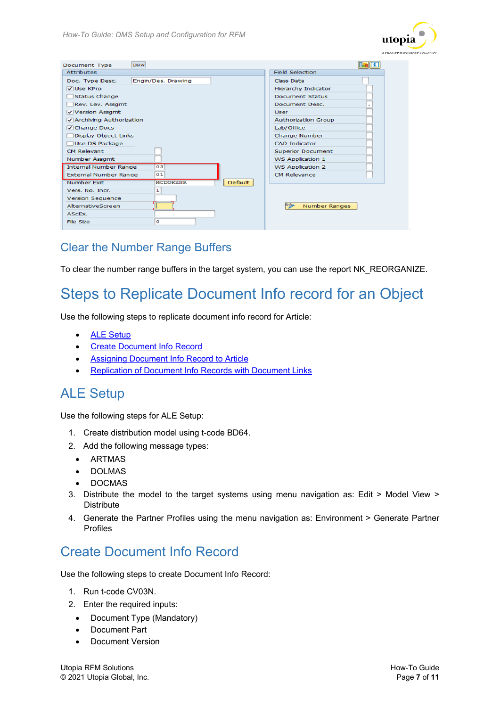

| <b>DRW</b><br><b>Document Type</b>               |                            |
|--------------------------------------------------|----------------------------|
| <b>Attributes</b>                                | <b>Field Selection</b>     |
| Engin/Des. Drawing<br>Doc. Type Desc.            | Class Data                 |
| VUse KPro                                        | Hierarchy Indicator        |
| <b>Status Change</b>                             | Document Status            |
| Rev. Lev. Assgmt                                 | Document Desc.             |
| Version Assgmt                                   | <b>User</b>                |
| Archiving Authorization                          | <b>Authorization Group</b> |
| √ Change Docs                                    | Lab/Office                 |
| <b>Display Object Links</b>                      | Change Number              |
| <b>Use DS Package</b>                            | <b>CAD</b> Indicator       |
| <b>CM Relevant</b>                               | <b>Superior Document</b>   |
| Number Assamt                                    | WS Application 1           |
| <b>Internal Number Range</b><br>03               | <b>WS Application 2</b>    |
| 01<br>External Number Range                      | <b>CM Relevance</b>        |
| <b>MCDOKZNR</b><br>Number Exit<br><b>Default</b> |                            |
| 1<br>Vers. No. Incr.                             |                            |
| <b>Version Sequence</b>                          |                            |
| AlternativeScreen                                | 630<br>Number Ranges       |
| ASCEX.                                           |                            |
| ۰<br>File Size                                   |                            |

#### <span id="page-6-0"></span>Clear the Number Range Buffers

To clear the number range buffers in the target system, you can use the report NK\_REORGANIZE.

## <span id="page-6-1"></span>Steps to Replicate Document Info record for an Object

Use the following steps to replicate document info record for Article:

- [ALE Setup](#page-6-4)
- [Create Document Info Record](#page-6-3)
- <span id="page-6-4"></span>**[Assigning Document Info Record to Article](#page-7-1)**
- [Replication of Document Info Records with Document Links](#page-9-0)

#### <span id="page-6-2"></span>ALE Setup

Use the following steps for ALE Setup:

- 1. Create distribution model using t-code BD64.
- 2. Add the following message types:
	- ARTMAS
	- DOLMAS
	- DOCMAS
- 3. Distribute the model to the target systems using menu navigation as: Edit > Model View > **Distribute**
- 4. Generate the Partner Profiles using the menu navigation as: Environment > Generate Partner Profiles

### <span id="page-6-3"></span>Create Document Info Record

Use the following steps to create Document Info Record:

- 1. Run t-code CV03N.
- 2. Enter the required inputs:
	- Document Type (Mandatory)
	- Document Part
	- Document Version

Utopia RFM Solutions **How-To Guide** © 2021 Utopia Global, Inc. Page **7** of **11**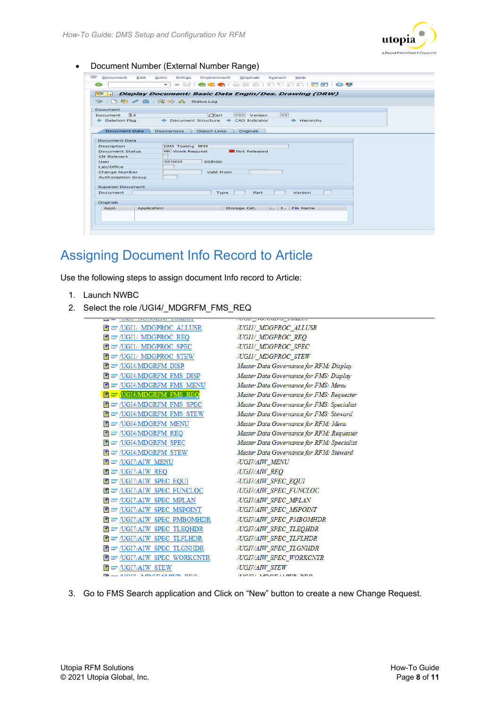<span id="page-7-1"></span>

• Document Number (External Number Range)

| Document Edit              | Goto<br>Environment Originals<br>Extras<br>System<br>Help           |
|----------------------------|---------------------------------------------------------------------|
| S                          | « e i q q q i & m m i a a a i q q q<br>$\checkmark$                 |
| 限回<br>احال                 | Display Document: Basic Data Engin/Des. Drawing (DRW)               |
|                            |                                                                     |
| Document                   |                                                                     |
| Document                   | $\Box$ art<br>h6<br> 00 <br>000 Version                             |
| ← Deletion Flag            | ◆ Document Structure → CAD Indicator<br>$\Leftrightarrow$ Hierarchy |
|                            |                                                                     |
| <b>Document Data</b>       | <b>Object Links</b><br>Originals<br><b>Descriptions</b>             |
| <b>Document Data</b>       |                                                                     |
| Description                | <b>DMS Testing RFM</b>                                              |
| <b>Document Status</b>     | Not Released<br>WR Work Request                                     |
| <b>CM Relevant</b>         |                                                                     |
| <b>User</b>                | SSINGH<br><b>SSINGH</b>                                             |
| Lab/Office                 |                                                                     |
| Change Number              | Valid From                                                          |
| <b>Authorization Group</b> |                                                                     |
|                            |                                                                     |
| <b>Superior Document</b>   |                                                                     |
| Document                   | <b>Type</b><br>Part<br>Version                                      |
| Originals                  |                                                                     |
| Appl.                      | Storage Cat.<br>i 1 File Name<br>Application                        |
|                            |                                                                     |
|                            |                                                                     |
|                            |                                                                     |
|                            |                                                                     |

## <span id="page-7-0"></span>Assigning Document Info Record to Article

Use the following steps to assign document Info record to Article:

- 1. Launch NWBC
- 2. Select the role /UGI4/\_MDGRFM\_FMS\_REQ

| <b>HE WAS TRANSPORTED TO THE HEADS</b>              | <b>TO ONE STORES OF AUSSING</b>            |
|-----------------------------------------------------|--------------------------------------------|
|                                                     | /UGII/ MDGPROC ALLUSR                      |
| ■ 27 /UGI1/ MDGPROC REQ                             | /UGII/ MDGPROC REQ                         |
| ■ 27 /UGI1/ MDGPROC SPEC                            | /UGII/ MDGPROC SPEC                        |
|                                                     | /UGII/ MDGPROC STEW                        |
| ■ 27 /UGI4/MDGRFM DISP                              | Master Data Governance for RFM: Display    |
| ■ 27 /UGI4/MDGRFM FMS DISP                          | Master Data Governance for FMS: Display    |
| <b>E</b> ET /UGI4/MDGRFM FMS MENU                   | Master Data Governance for FMS: Menu       |
| <b>E</b> 27 UGI4/MDGRFM FMS REQ                     | Master Data Governance for FMS: Requester  |
| <b>T</b> EV /UGI4/MDGRFM FMS SPEC                   | Master Data Governance for FMS: Specialist |
| <b>E</b> EV /UGI4/MDGRFM FMS STEW                   | Master Data Governance for FMS: Steward    |
| ■ 27 /UGI4/MDGRFM MENU                              | Master Data Governance for RFM: Menu       |
| ■ 27 /UGI4/MDGRFM REQ                               | Master Data Governance for RFM: Requester  |
| ■ 27 /UGI4/MDGRFM SPEC                              | Master Data Governance for RFM: Specialist |
| ■ 27 /UGI4/MDGRFM STEW                              | Master Data Governance for RFM: Steward    |
| ■ zy /UGI7/AIW MENU                                 | /UGI7/AIW MENU                             |
| ■ 27 /UGI7/AIW REQ                                  | /UGI7/AIW REO                              |
| ■ 27 /UGI7/AIW SPEC EQUI                            | /UGI7/AIW SPEC EOUI                        |
| <b>E</b> ET /UGI7/AIW SPEC FUNCLOC                  | /UGI7/AIW SPEC FUNCLOC                     |
| <b>E</b> ET /UGI7/AIW SPEC MPLAN                    | /UGI7/AIW SPEC MPLAN                       |
| <b>E</b> ET /UGI7/AIW SPEC MSPOINT                  | /UGI7/AIW SPEC MSPOINT                     |
| ■ 27 /UGI7/AIW SPEC PMBOMHDR                        | /UGI7/AIW SPEC PMBOMHDR                    |
| <b>E</b> ET /UGI7/AIW SPEC TLEQHDR                  | /UGI7/AIW SPEC TLEOHDR                     |
| <b>E</b> ET /UGI7/AIW SPEC TLFLHDR                  | /UGI7/AIW SPEC TLFLHDR                     |
| ■ 27 /UGI7/AIW SPEC TLGNHDR                         | /UGI7/AIW SPEC TLGNHDR                     |
| <b>E</b> ET /UGI7/AIW SPEC WORKCNTR                 | /UGI7/AIW SPEC WORKCNTR                    |
| $\blacksquare$ $\blacktriangleright$ /UGI7/AIW STEW | /UGI7/AIW_STEW                             |
| <b>A ELOTEL MOOD AMMOOD OCA</b>                     | AMARIAN LANGER IN BRO                      |

3. Go to FMS Search application and Click on "New" button to create a new Change Request.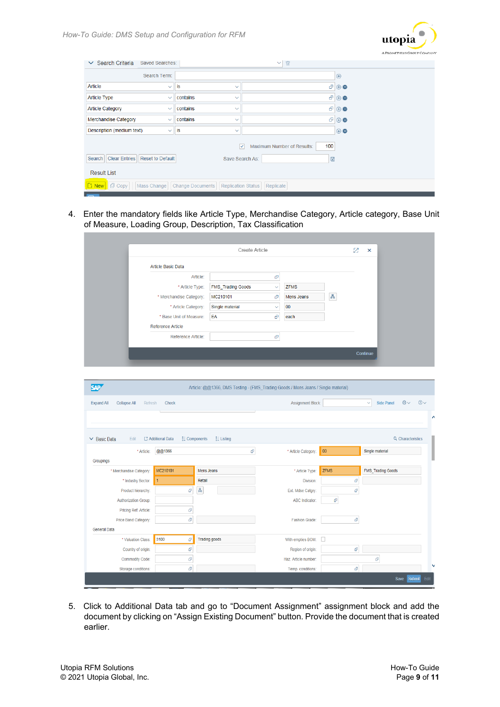

| $\vee$ Search Criteria<br>Saved Searches:                 |                                                      | T<br>$\checkmark$                                            |                        |
|-----------------------------------------------------------|------------------------------------------------------|--------------------------------------------------------------|------------------------|
| Search Term:                                              |                                                      |                                                              | $\bigoplus$            |
| Article<br>$\checkmark$                                   | is<br>$\checkmark$                                   |                                                              | $\theta \oplus \Theta$ |
| <b>Article Type</b><br>$\checkmark$                       | contains<br>$\checkmark$                             | æ                                                            | $\bigoplus$            |
| <b>Article Category</b><br>$\checkmark$                   | contains<br>$\checkmark$                             | æ                                                            | $\bigcirc$             |
| Merchandise Category<br>$\checkmark$                      | contains<br>$\checkmark$                             | ď.                                                           | $\Theta$               |
| Description (medium text)<br>$\checkmark$                 | İS<br>$\checkmark$                                   |                                                              | $\oplus \bullet$       |
|                                                           |                                                      | 100<br>Maximum Number of Results:<br>$\overline{\mathsf{v}}$ |                        |
| <b>Clear Entries</b><br><b>Reset to Default</b><br>Search | Save Search As:                                      | $\boxplus$                                                   |                        |
| <b>Result List</b>                                        |                                                      |                                                              |                        |
| <b>Li New</b> 日 Copy<br>Mass Change                       | <b>Change Documents</b><br><b>Replication Status</b> | Replicate                                                    |                        |

4. Enter the mandatory fields like Article Type, Merchandise Category, Article category, Base Unit of Measure, Loading Group, Description, Tax Classification

|                          | Create Article           |              |             |   | Z | $\boldsymbol{\mathsf{x}}$ |
|--------------------------|--------------------------|--------------|-------------|---|---|---------------------------|
| Article Basic Data       |                          |              |             |   |   |                           |
| Article:                 |                          | æ            |             |   |   |                           |
| * Article Type:          | <b>FMS_Trading Goods</b> | $\checkmark$ | <b>ZFMS</b> |   |   |                           |
| * Merchandise Category:  | MC210101                 | e            | Mens Jeans  | 愚 |   |                           |
| * Article Category:      | Single material          | $\checkmark$ | 00          |   |   |                           |
| * Base Unit of Measure:  | EA                       | Ð            | each        |   |   |                           |
| <b>Reference Article</b> |                          |              |             |   |   |                           |
| Reference Article:       |                          | æ            |             |   |   |                           |
|                          |                          |              |             |   |   |                           |
|                          |                          |              |             |   |   | Continue                  |

| <b>SAP</b><br>Article: @@1366, DMS Testing - (FMS_Trading Goods / Mens Jeans / Single material)                 |                                                |                       |                       |             |                     |      |
|-----------------------------------------------------------------------------------------------------------------|------------------------------------------------|-----------------------|-----------------------|-------------|---------------------|------|
| Side Panel<br><b>Collapse All</b><br>Assignment Block:<br>$\checkmark$<br><b>Expand All</b><br>Refresh<br>Check |                                                |                       |                       |             | $\odot$<br>$@ \vee$ |      |
|                                                                                                                 |                                                |                       |                       |             |                     | Λ    |
| $\vee$ Basic Data<br>Edit                                                                                       | C3 Additional Data<br>$\frac{1}{2}$ Components | $\frac{3}{2}$ Listing |                       |             | Q Characteristics   |      |
| * Article:                                                                                                      | @@1366                                         | $\vartheta$           | * Article Category:   | 00          | Single material     |      |
| Groupings                                                                                                       |                                                |                       |                       |             |                     |      |
| * Merchandise Category:                                                                                         | MC210101                                       | Mens Jeans            | * Article Type:       | <b>ZFMS</b> | FMS_Trading Goods   |      |
| * Industry Sector:                                                                                              | $\vert$ 1                                      | Retail                | Division:             | a           |                     |      |
| Product hierarchy:                                                                                              | a                                              | Ā                     | Ext. Mdse Catgry:     | a           |                     |      |
| <b>Authorization Group:</b>                                                                                     |                                                |                       | <b>ABC Indicator:</b> | a           |                     |      |
| Pricing Ref. Article:                                                                                           | $\vec{\mathbf{p}}$                             |                       |                       |             |                     |      |
| Price Band Category:                                                                                            | $\vec{\mathbf{p}}$                             |                       | <b>Fashion Grade:</b> | $\sigma$    |                     |      |
| <b>General Data</b>                                                                                             |                                                |                       |                       |             |                     |      |
| * Valuation Class:                                                                                              | 3100<br>a                                      | <b>Trading goods</b>  | With empties BOM:     | ш           |                     |      |
| Country of origin:                                                                                              | $\vec{\mathbf{u}}$                             |                       | Region of origin:     | a           |                     |      |
| <b>Commodity Code:</b>                                                                                          | $\vec{\mathbf{u}}$                             |                       | Haz. Article number:  |             | a                   |      |
| Storage conditions:                                                                                             | a                                              |                       | Temp. conditions:     | a           |                     | N    |
|                                                                                                                 |                                                |                       |                       |             | Submit<br>Save      | Edit |

5. Click to Additional Data tab and go to "Document Assignment" assignment block and add the document by clicking on "Assign Existing Document" button. Provide the document that is created earlier.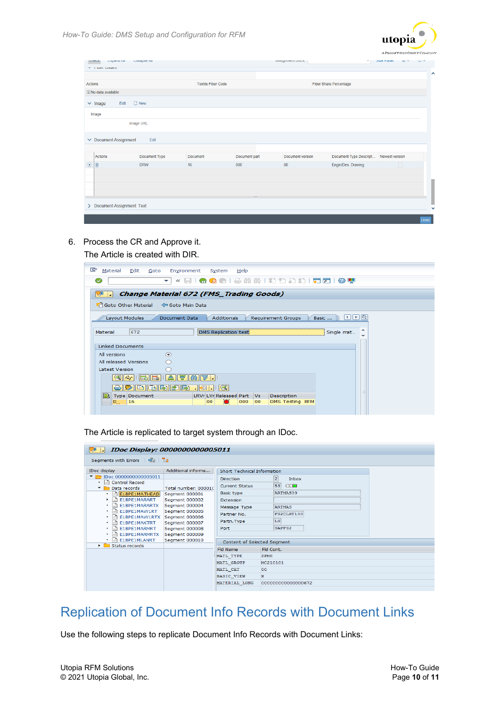

| <b>TILIDOI LOUIDO</b>      |                             |                           |                      | MODITION DIVEN.        | $\sim$ 11                                                   | <b>OIUC FAIICI</b><br><b>USI Y</b> |
|----------------------------|-----------------------------|---------------------------|----------------------|------------------------|-------------------------------------------------------------|------------------------------------|
|                            |                             |                           |                      |                        |                                                             |                                    |
| Actions                    |                             | <b>Textile Fiber Code</b> |                      | Fiber Share Percentage |                                                             |                                    |
| il No data available       |                             |                           |                      |                        |                                                             |                                    |
| $\vee$ Image               | $\Box$ New<br>Edit          |                           |                      |                        |                                                             |                                    |
| Image                      |                             |                           |                      |                        |                                                             |                                    |
|                            | Image URL:                  |                           |                      |                        |                                                             |                                    |
|                            |                             |                           |                      |                        |                                                             |                                    |
| $\vee$ Document Assignment | Edit                        |                           |                      |                        |                                                             |                                    |
|                            |                             |                           |                      |                        |                                                             |                                    |
|                            |                             |                           |                      |                        |                                                             |                                    |
| Actions<br>窗               | Document Type<br><b>DRW</b> | Document<br>16            | Document part<br>000 | Document version<br>00 | Document Type Descript Newest version<br>Engin/Des. Drawing | $\Box$                             |
|                            |                             |                           |                      |                        |                                                             |                                    |
|                            |                             |                           |                      |                        |                                                             |                                    |
|                            |                             |                           |                      |                        |                                                             |                                    |
|                            | Document Assignment: Text   |                           |                      |                        |                                                             |                                    |

6. Process the CR and Approve it.

The Article is created with DIR.

| 叵<br>Material<br>Edit<br>Environment<br>Goto<br>System<br>Help                              |  |  |  |  |  |
|---------------------------------------------------------------------------------------------|--|--|--|--|--|
| « e i Q Q Q i & m m i a a a i e e p<br>✅<br>↽                                               |  |  |  |  |  |
| <b>Change Material 672 (FMS_Trading Goods)</b><br>瀴                                         |  |  |  |  |  |
| Goto Other Material<br>Goto Main Data                                                       |  |  |  |  |  |
| Layout Modules<br>Document Data<br><b>Additionals</b><br><b>Requirement Groups</b><br>Basic |  |  |  |  |  |
| 672<br><b>Material</b><br>Single mat<br>DMS Replication test                                |  |  |  |  |  |
| <b>Linked Documents</b>                                                                     |  |  |  |  |  |
| $\odot$<br>All versions                                                                     |  |  |  |  |  |
| All released Versions                                                                       |  |  |  |  |  |
| <b>Latest Version</b>                                                                       |  |  |  |  |  |
| 흠<br>'ਵ<br>IIESI<br>Eò                                                                      |  |  |  |  |  |
| birin<br>기표 -                                                                               |  |  |  |  |  |
| LRVr LVr Released Part Vs<br>Type Document<br>Description                                   |  |  |  |  |  |
| 000<br><b>DMS Testing RFM</b><br><b>D</b><br>16<br>00<br>00<br>О                            |  |  |  |  |  |
|                                                                                             |  |  |  |  |  |

The Article is replicated to target system through an IDoc.

| 随<br>$\P(\mathbf{z})$                  | <b>IDoc Display: 0000000000005011</b> |                             |                         |
|----------------------------------------|---------------------------------------|-----------------------------|-------------------------|
| $\Theta$ $\Xi$<br>Segments with Errors |                                       |                             |                         |
| IDoc display                           | Additional informa                    | Short Technical Information |                         |
| $\sqrt{2}$ IDoc 00000000000005011      |                                       | <b>Direction</b>            | $\overline{2}$<br>Inbox |
| • <b>■</b> Control Record              |                                       | <b>Current Status</b>       | 53<br>$\infty$          |
| Data records                           | Total number: 000010                  |                             | <b>ARTMAS09</b>         |
| Ð<br>E1BPE1MATHEAD<br>$\bullet$        | Segment 000001                        | <b>Basic type</b>           |                         |
| E1BPE1MARART<br>⊫ا<br>٠                | Segment 000002                        | Extension                   |                         |
| E1BPE1MARARTX<br>÷<br>٠                | Segment 000004                        | Message Type                | <b>ARTMAS</b>           |
| E1BPE1MAW1RT<br>٠                      | Segment 000005                        | Partner No.                 | FS2CLNT100              |
| E1BPE1MAW1RTX<br>٠                     | Segment 000006                        | Partn. Type                 | LS                      |
| E1BPE1MAKTRT<br>٠                      | Seament 000007                        |                             |                         |
| E1BPE1MARMRT<br>٠                      | Segment 000008                        | Port                        | SAPFS <sub>2</sub>      |
| E1BPE1MARMRTX<br>٠                     | Segment 000009                        |                             |                         |
| E1BPE1MLANRT<br>٠                      | Segment 000010                        | Content of Selected Segment |                         |
| ▸ ଵ<br>Status records                  |                                       | <b>Fld Name</b>             | Fld Cont.               |
|                                        |                                       | MATL TYPE                   | <b>ZFMS</b>             |
|                                        |                                       |                             | MC210101                |
|                                        |                                       | MATL GROUP                  |                         |
|                                        |                                       | MATL CAT                    | 00                      |
|                                        |                                       | <b>BASIC_VIEW</b>           | x                       |
|                                        |                                       | MATERIAL LONG               | 00000000000000672       |
|                                        |                                       |                             |                         |

## <span id="page-9-0"></span>Replication of Document Info Records with Document Links

Use the following steps to replicate Document Info Records with Document Links: